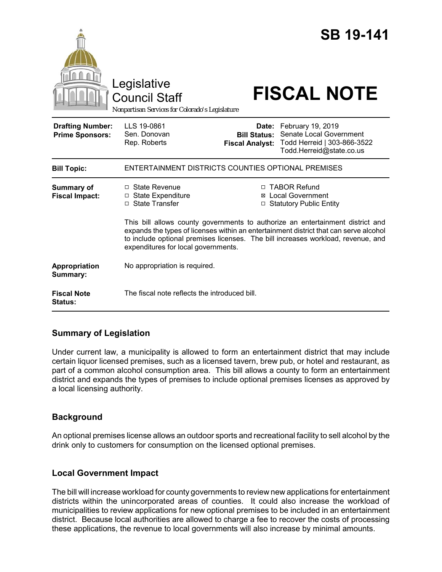|                                                   | Legislative<br><b>Council Staff</b><br>Nonpartisan Services for Colorado's Legislature                                                                                                                                                                                                                                                                                                                                                            |                                                        | <b>SB 19-141</b><br><b>FISCAL NOTE</b>                                                                  |
|---------------------------------------------------|---------------------------------------------------------------------------------------------------------------------------------------------------------------------------------------------------------------------------------------------------------------------------------------------------------------------------------------------------------------------------------------------------------------------------------------------------|--------------------------------------------------------|---------------------------------------------------------------------------------------------------------|
| <b>Drafting Number:</b><br><b>Prime Sponsors:</b> | LLS 19-0861<br>Sen. Donovan<br>Rep. Roberts                                                                                                                                                                                                                                                                                                                                                                                                       | Date:<br><b>Bill Status:</b><br><b>Fiscal Analyst:</b> | February 19, 2019<br>Senate Local Government<br>Todd Herreid   303-866-3522<br>Todd.Herreid@state.co.us |
| <b>Bill Topic:</b>                                | ENTERTAINMENT DISTRICTS COUNTIES OPTIONAL PREMISES                                                                                                                                                                                                                                                                                                                                                                                                |                                                        |                                                                                                         |
| <b>Summary of</b><br><b>Fiscal Impact:</b>        | $\Box$ State Revenue<br>□ TABOR Refund<br><b>⊠</b> Local Government<br>□ State Expenditure<br>□ State Transfer<br>□ Statutory Public Entity<br>This bill allows county governments to authorize an entertainment district and<br>expands the types of licenses within an entertainment district that can serve alcohol<br>to include optional premises licenses. The bill increases workload, revenue, and<br>expenditures for local governments. |                                                        |                                                                                                         |
| Appropriation<br>Summary:                         | No appropriation is required.                                                                                                                                                                                                                                                                                                                                                                                                                     |                                                        |                                                                                                         |
| <b>Fiscal Note</b><br>Status:                     | The fiscal note reflects the introduced bill.                                                                                                                                                                                                                                                                                                                                                                                                     |                                                        |                                                                                                         |

# **Summary of Legislation**

Under current law, a municipality is allowed to form an entertainment district that may include certain liquor licensed premises, such as a licensed tavern, brew pub, or hotel and restaurant, as part of a common alcohol consumption area. This bill allows a county to form an entertainment district and expands the types of premises to include optional premises licenses as approved by a local licensing authority.

# **Background**

An optional premises license allows an outdoor sports and recreational facility to sell alcohol by the drink only to customers for consumption on the licensed optional premises.

# **Local Government Impact**

The bill will increase workload for county governments to review new applications for entertainment districts within the unincorporated areas of counties. It could also increase the workload of municipalities to review applications for new optional premises to be included in an entertainment district. Because local authorities are allowed to charge a fee to recover the costs of processing these applications, the revenue to local governments will also increase by minimal amounts.